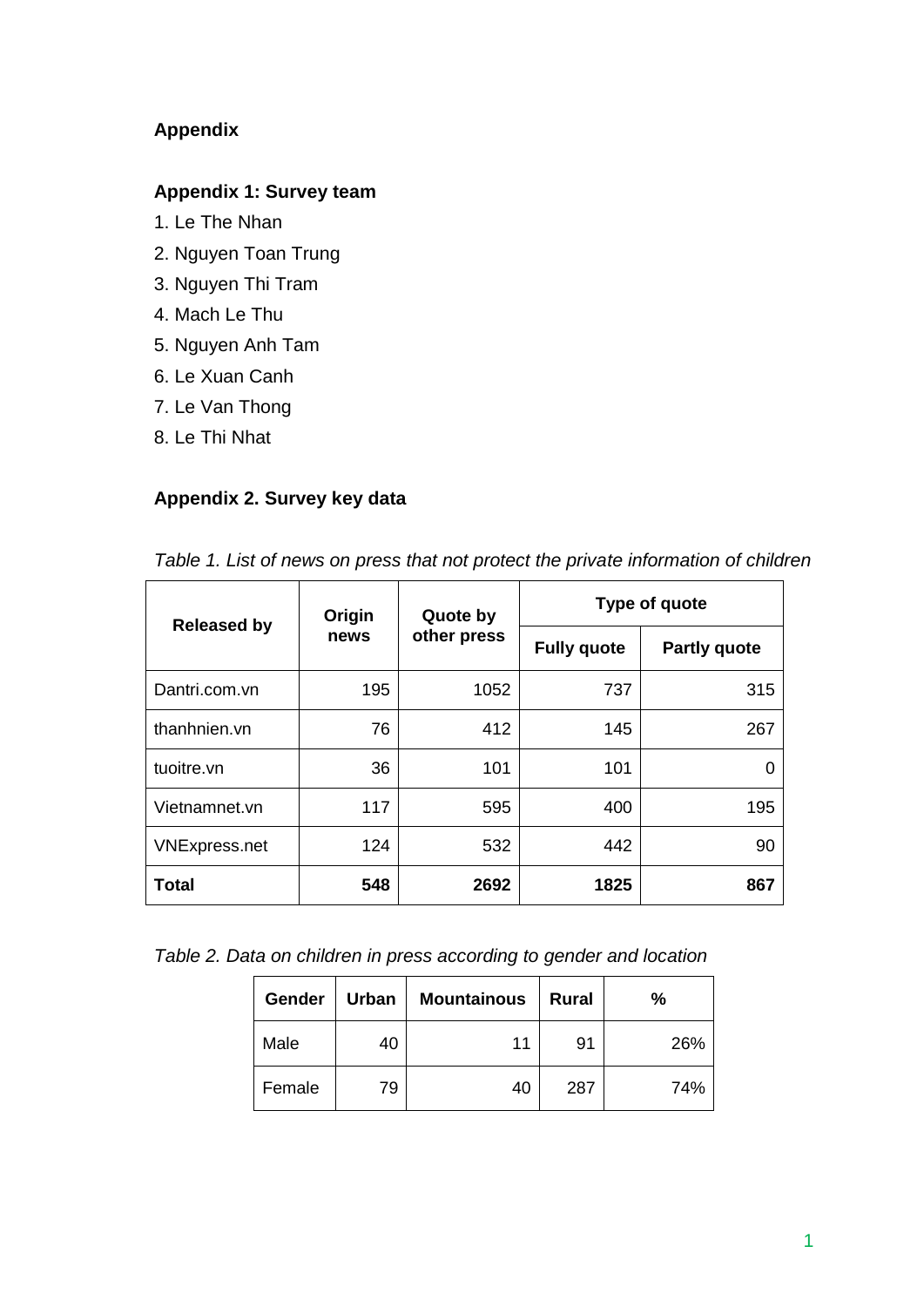# **Appendix**

# **Appendix 1: Survey team**

- 1. Le The Nhan
- 2. Nguyen Toan Trung
- 3. Nguyen Thi Tram
- 4. Mach Le Thu
- 5. Nguyen Anh Tam
- 6. Le Xuan Canh
- 7. Le Van Thong
- 8. Le Thi Nhat

# **Appendix 2. Survey key data**

| <b>Released by</b>   | Origin<br>news | Quote by<br>other press | Type of quote      |                     |  |
|----------------------|----------------|-------------------------|--------------------|---------------------|--|
|                      |                |                         | <b>Fully quote</b> | <b>Partly quote</b> |  |
| Dantri.com.vn        | 195            | 1052                    | 737                | 315                 |  |
| thanhnien.vn         | 76             | 412                     | 145                | 267                 |  |
| tuoitre.vn           | 36             | 101                     | 101                |                     |  |
| Vietnamnet.vn        | 117            | 595                     | 400                | 195                 |  |
| <b>VNExpress.net</b> | 124            | 532                     | 442                | 90                  |  |
| <b>Total</b>         | 548            | 2692                    | 1825               | 867                 |  |

*Table 1. List of news on press that not protect the private information of children* 

*Table 2. Data on children in press according to gender and location*

| Gender | Urban | <b>Mountainous</b> | <b>Rural</b> | %   |
|--------|-------|--------------------|--------------|-----|
| Male   | 40    | 11                 | 91           | 26% |
| Female | 79    | 40                 | 287          | 74% |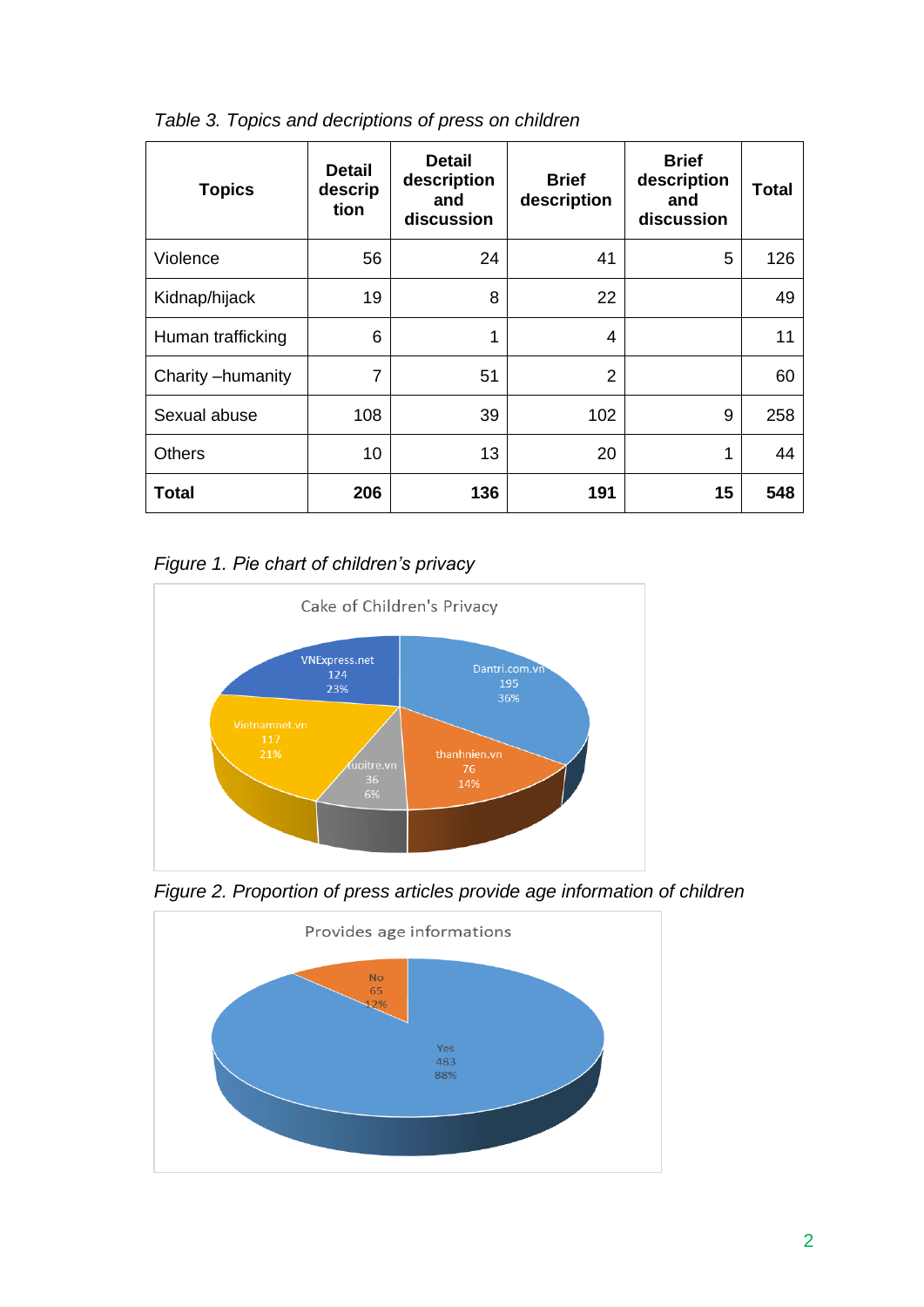| <b>Topics</b>     | <b>Detail</b><br>descrip<br>tion | <b>Detail</b><br>description<br>and<br>discussion | <b>Brief</b><br>description | <b>Brief</b><br>description<br>and<br>discussion | <b>Total</b> |
|-------------------|----------------------------------|---------------------------------------------------|-----------------------------|--------------------------------------------------|--------------|
| Violence          | 56                               | 24                                                | 41                          | 5                                                | 126          |
| Kidnap/hijack     | 19                               | 8                                                 | 22                          |                                                  | 49           |
| Human trafficking | 6                                | 1                                                 | 4                           |                                                  | 11           |
| Charity-humanity  | $\overline{7}$                   | 51                                                | $\overline{2}$              |                                                  | 60           |
| Sexual abuse      | 108                              | 39                                                | 102                         | 9                                                | 258          |
| <b>Others</b>     | 10                               | 13                                                | 20                          | 1                                                | 44           |
| Total             | 206                              | 136                                               | 191                         | 15                                               | 548          |

*Table 3. Topics and decriptions of press on children*

*Figure 1. Pie chart of children's privacy*



*Figure 2. Proportion of press articles provide age information of children* 

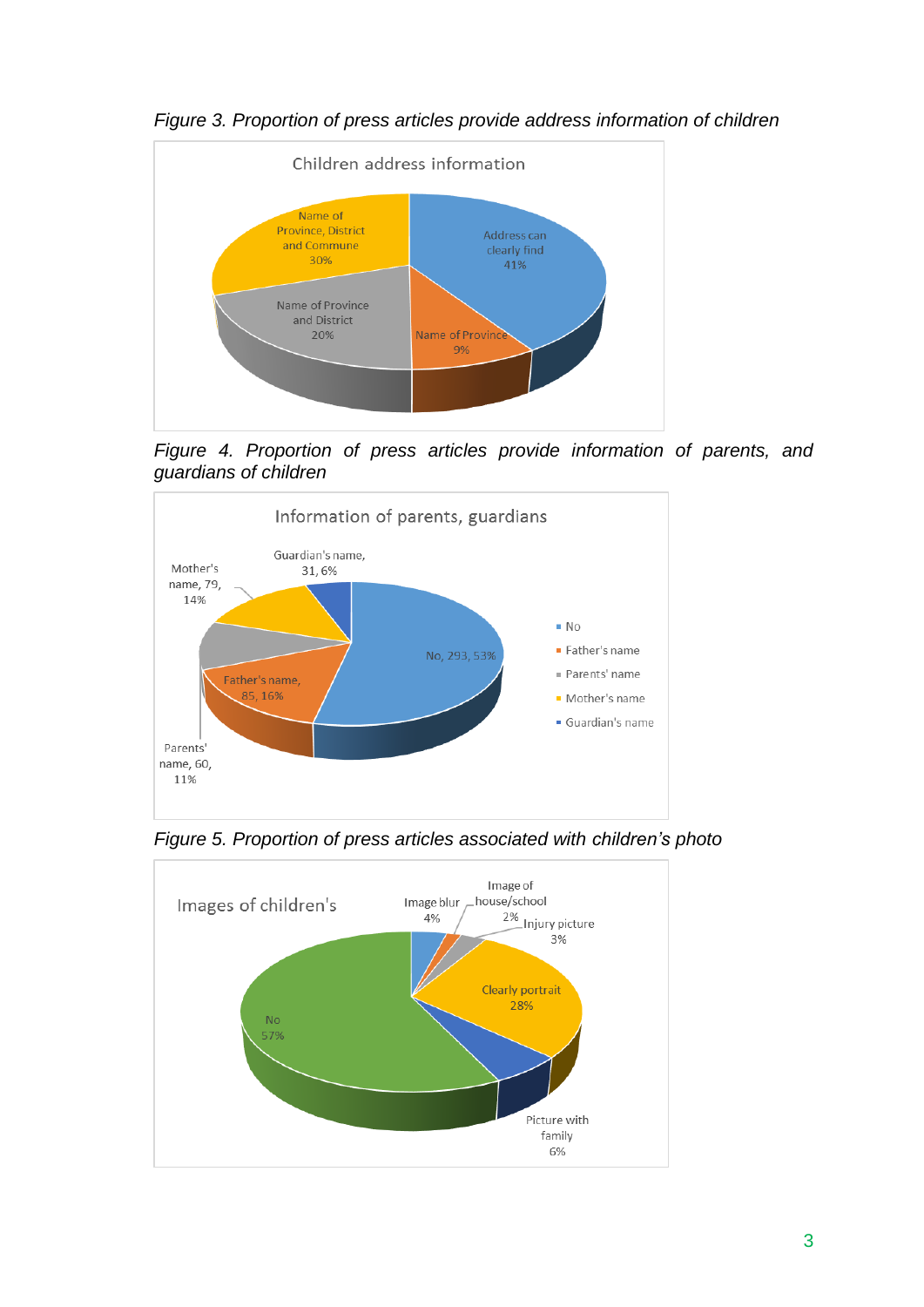

*Figure 3. Proportion of press articles provide address information of children*

*Figure 4. Proportion of press articles provide information of parents, and guardians of children*



*Figure 5. Proportion of press articles associated with children's photo* 

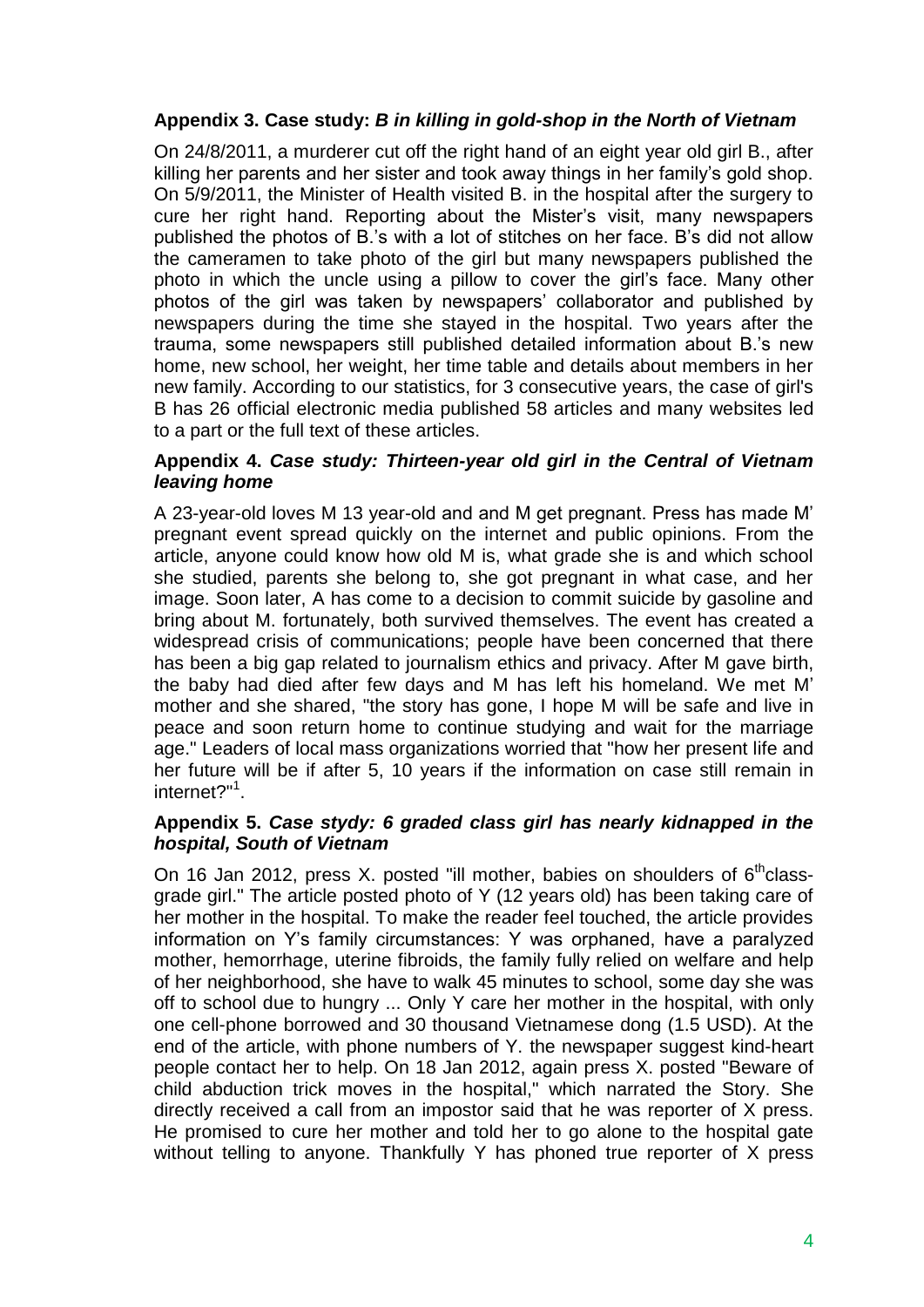### **Appendix 3. Case study:** *B in killing in gold-shop in the North of Vietnam*

On 24/8/2011, a murderer cut off the right hand of an eight year old girl B., after killing her parents and her sister and took away things in her family's gold shop. On 5/9/2011, the Minister of Health visited B. in the hospital after the surgery to cure her right hand. Reporting about the Mister's visit, many newspapers published the photos of B.'s with a lot of stitches on her face. B's did not allow the cameramen to take photo of the girl but many newspapers published the photo in which the uncle using a pillow to cover the girl's face. Many other photos of the girl was taken by newspapers' collaborator and published by newspapers during the time she stayed in the hospital. Two years after the trauma, some newspapers still published detailed information about B.'s new home, new school, her weight, her time table and details about members in her new family. According to our statistics, for 3 consecutive years, the case of girl's B has 26 official electronic media published 58 articles and many websites led to a part or the full text of these articles.

### **Appendix 4.** *Case study: Thirteen-year old girl in the Central of Vietnam leaving home*

A 23-year-old loves M 13 year-old and and M get pregnant. Press has made M' pregnant event spread quickly on the internet and public opinions. From the article, anyone could know how old M is, what grade she is and which school she studied, parents she belong to, she got pregnant in what case, and her image. Soon later, A has come to a decision to commit suicide by gasoline and bring about M. fortunately, both survived themselves. The event has created a widespread crisis of communications; people have been concerned that there has been a big gap related to journalism ethics and privacy. After M gave birth, the baby had died after few days and M has left his homeland. We met M' mother and she shared, "the story has gone, I hope M will be safe and live in peace and soon return home to continue studying and wait for the marriage age." Leaders of local mass organizations worried that "how her present life and her future will be if after 5, 10 years if the information on case still remain in internet?"<sup>1</sup>.

#### **Appendix 5.** *Case stydy: 6 graded class girl has nearly kidnapped in the hospital, South of Vietnam*

On 16 Jan 2012, press X, posted "ill mother, babies on shoulders of  $6<sup>th</sup>$ classgrade girl." The article posted photo of Y (12 years old) has been taking care of her mother in the hospital. To make the reader feel touched, the article provides information on Y's family circumstances: Y was orphaned, have a paralyzed mother, hemorrhage, uterine fibroids, the family fully relied on welfare and help of her neighborhood, she have to walk 45 minutes to school, some day she was off to school due to hungry ... Only Y care her mother in the hospital, with only one cell-phone borrowed and 30 thousand Vietnamese dong (1.5 USD). At the end of the article, with phone numbers of Y. the newspaper suggest kind-heart people contact her to help. On 18 Jan 2012, again press X. posted "Beware of child abduction trick moves in the hospital," which narrated the Story. She directly received a call from an impostor said that he was reporter of X press. He promised to cure her mother and told her to go alone to the hospital gate without telling to anyone. Thankfully Y has phoned true reporter of X press